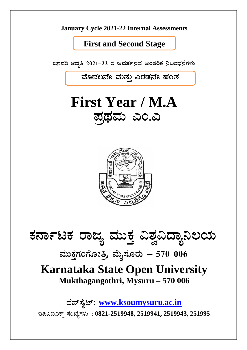**January Cycle 2021-22 Internal Assessments** 

**First and Second Stage** 

ಜನವರಿ ಆವೃತಿ 2021–22 ರ ಆವರ್ತನದ ಆಂತರಿಕ ನಿಬಂಧನೆಗಳು

ಮೊದಲನೇ ಮತ್ತು ಎರಡನೇ ಹಂತ

**First Year / M.A.** ಪ್ರಥಮ ಎಂ.ಎ



ಕರ್ನಾಟಕ ರಾಜ್ಯ ಮುಕ್ತ ವಿಶ್ವವಿದ್ಯಾನಿಲಯ

ಮುಕ್ತಗಂಗೋತ್ರಿ, ಮೈಸೂರು – 570 006

# **Karnataka State Open University** Mukthagangothri, Mysuru – 570 006

ವೆಬ್ಸೈಟ್: www.ksoumysuru.ac.in ಇಪಿಎಬಿಎಕ್ಸ್ ಸಂಖ್ಯೆಗಳು: 0821-2519948, 2519941, 2519943, 251995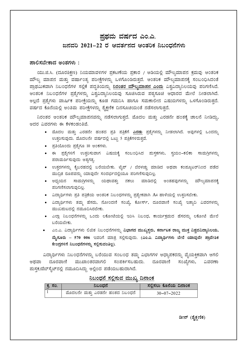# ಪಥಮ ವರ್ಷದ ಎಂ.ಎ. ಜನವರಿ 2021–22 ರ ಆವರ್ತನದ ಆಂತರಿಕ ನಿಬಂಧನೆಗಳು

#### ಪಾಲಿಸಬೇಕಾದ ಅಂಶಗಳು :

ಯು.ಜಿ.ಸಿ. (ದೂರಶಿಕ್ಷಣ) ನಿಯಮಾವಳಿಗಳ ಪ್ರಕಟಣೆಯ ಪ್ರಕಾರ / ಅಡಿಯಲ್ಲಿ ಮೌಲ್ಯಮಾಪನ ಕ್ರಮವು ಆಂತರಿಕ ಮೌಲ್ಯ ಮಾಪನ ಮತ್ತು ವರ್ಷಾಂತ್ಯ ಪರೀಕ್ಷೆಗಳನ್ನು ಒಳಗೊಂಡಿರುತ್ತದೆ. ಆಂತರಿಕ ಮೌಲ್ಯಮಾಪನಕ್ಕೆ ಸಂಬಂಧಿಸಿದಂತೆ ಪ್ರಾಥಮಿಕವಾಗಿ ನಿಬಂಧನೆಗಳ ಸಲ್ಲಿಕೆ ಪದ್ಧತಿಯನ್ನು <mark>ನಿರಂತರ ಮೌಲ್ಯಮಾಪನ ಎಂದು</mark> ವಿಶ್ವವಿದ್ಯಾನಿಲಯವು ಪರಿಗಣಿಸಿದೆ. ಆಂತರಿಕ ನಿಬಂಧನೆಗಳ ಪ್ರಶ್ನೆಗಳನ್ನು ವಿಶ್ವವಿದ್ಯಾನಿಲಯವು ಸೂಚಿಸಿರುವ ಪಠ್ಯಸೂಚಿ ಆಧಾರದ ಮೇಲೆ ನೀಡಲಾಗಿದೆ. ಅಲ್ಲದೆ ಪ್ರಶ್ನೆಗಳು ವಾರ್ಷಿಕ ಪರೀಕ್ಷೆಯನ್ನು ಕೂಡ ಗಮನಿಸಿ ಹಾಗೂ ಸಮಕಾಲೀನ ವಿಷಯಗಳನ್ನು ಒಳಗೊಂಡಿರುತ್ತದೆ. ವರ್ಷದ ಕೊನೆಯಲ್ಲಿ ಅಂತಿಮ ಪರೀಕ್ಷೆಗಳನ್ನು ಶೈಕ್ಷಣಿಕ ದಿನಸೂಚಿಯಂತೆ ನಡೆಸಲಾಗುತ್ತದೆ.

ನಿರಂತರ ಆಂತರಿಕ ಮೌಲ್ಯಮಾಪನವನ್ನು ನಡೆಸಲಾಗುತ್ತದೆ. ಮೊದಲ ಮತ್ತು ಎರಡನೇ ಹಂತಕ್ಕೆ ಚಾಲನೆ ನೀಡಿದ್ದು, ಅದರ ವಿವರಗಳು ಈ ಕೆಳಕಂಡಂತಿವೆ.

- ಮೊದಲ ಮತ್ತು ಎರಡನೇ ಹಂತದ ಪ್ರತಿ ಪತ್ರಿಕೆಗೆ <u>ಎರಡು</u> ಪ್ರಶ್ನೆಗಳನ್ನು ನೀಡಲಾಗಿದೆ. ಅವುಗಳಲ್ಲಿ ಒಂದನ್ನು ಉತ್ತರಿಸುವುದು. ಮೊದಲನೇ ವರ್ಷದಲ್ಲಿ ಒಟ್ಟು 5 ಪತ್ರಿಕೆಗಳಿರುತ್ತವೆ.
- ಪ್ರತಿಯೊಂದು ಪ್ರಶ್ನೆಗೂ 10 ಅಂಕಗಳು.
- ಈ ಪ್ರಶ್ನೆಗಳಿಗೆ ಉತ್ತರಿಸುವಾಗ ವಿಷಯಕ್ಕೆ ಸಂಬಂಧಿಸಿದ ಮಸ್ತಕಗಳು, ಸ್ತಯಂ–ಕಲಿಕಾ ಸಾಮಗಿಗಳನ್ನು ಪರಾಮರ್ಶಿಸುವುದು ಅತ್ಯಗತ್ಯ.
- ಉತ್ತರಗಳನ್ನು ಕೈಬರಹದಲ್ಲಿ ಬರೆಯಬೇಕು. ಟೈಪ್ / ಬೆರಳಚ್ಚು ಮಾಡಿದ ಅಥವಾ ಕಂಪ್ಯೂಟರ್ನಿಂದ ಪಡೆದ ಮುದ್ರಿತ ರೂಪವನ್ನು ಯಾವುದೇ ಸಂದರ್ಭದಲ್ಲಿಯೂ ಪರಿಗಣಿಸುವುದಿಲ್ಲ.
- ಅಧ್ಯಯನ ಸಾಮಗಿಗಳನ್ನು ಯಥಾವತ್ತು ನಕಲು ಮಾಡಿದಲ್ಲಿ ಅಂತಹವುಗಳನ್ನು ಮೌಲ್ಯಮಾಪನಕ್ಕೆ ಪರಿಗಣಿಸಲಾಗುವುದಿಲ್ಲ.
- ವಿದ್ಯಾರ್ಥಿಗಳು ಪ್ರತಿ ಪತ್ರಿಕೆಯ ಆಂತರಿಕ ನಿಬಂಧಗಳನ್ನು ಪ್ರತ್ಯೇಕವಾಗಿ A4 ಹಾಳೆಯಲ್ಲಿ ಉತ್ತರಿಸಬೇಕು.
- ವಿದ್ಯಾರ್ಥಿಗಳು ತಮ್ಮ ಹೆಸರು, ನೋಂದಣಿ ಸಂಖ್ಯೆ, ಕೋರ್ಸ್, ದೂರವಾಣಿ ಸಂಖ್ಯೆ ಇತ್ಯಾದಿ ವಿವರಗಳನ್ನು ಮುಖಮಟದಲ್ಲಿ ನಮೂದಿಸಿರಬೇಕು.
- ಎಲ್ಲಾ ನಿಬಂಧನೆಗಳನ್ನು ಒಂದು ಲಕೋಟೆಯಲ್ಲಿ ಇರಿಸಿ ನಿಬಂಧ, ಕಾರ್ಯಕ್ರಮದ ಹೆಸರನ್ನು ಲಕೋಟೆ ಮೇಲೆ ಬರೆಯಬೇಕು.
- ಎಂ.ಎ. ವಿದ್ಯಾರ್ಥಿಗಳು ಲಿಖಿತ ನಿಬಂಧನೆಗಳನ್ನು <mark>ವಿಭಾಗದ ಮುಖ್ಯಸ್ಥರು, ಕರ್ನಾಟಕ ರಾಜ್ಯ ಮುಕ್ತ ವಿಶ್ವವವಿದ್ಯಾನಿಲಯ,</mark> ಮೈಸೂರು – 570 006 ಇವರಿಗೆ ಮಾತ್ರ ಸಲ್ಲಿಸುವುದು. (ಎಂ.ಎ. ವಿದ್ಯಾರ್ಥಿಗಳು ಬೇರೆ ಯಾವುದೇ ಪ್ರಾದೇಶಿಕ ಕೇಂದ್ರಗಳಿಗೆ ನಿಬಂಧನೆಗಳನ್ನು ಸಲ್ಲಿಸುವಂತಿಲ್ಲ).

ವಿದ್ಯಾರ್ಥಿಗಳು ನಿಬಂಧನೆಗಳನ್ನು ಬರೆಯುವ ಸಂಬಂಧ ತಮ್ಮ ವಿಭಾಗಗಳ ಅಧ್ಯಾಪಕರನ್ನು ವೈಯಕ್ತಿಕವಾಗಿ ಆಗಲಿ ಅಥವಾ ದೂರವಾಣಿ ಮುಖಾಂತರವಾಗಲಿ ಸಂಪರ್ಕಿಸಬಹುದು. ದೂರವಾಣಿ ಸಂಖ್ಯೆಗಳು, ವಿವರಣಾ ಮಸ್ಯಕ/ವೆಬ್ಸೈಟ್ನಲ್ಲಿ ನಮೂದಿಸಿದ್ದು ಅಲ್ಲಿಂದ ಪಡೆಯಬಹುದಾಗಿದೆ.

#### ನಿಬಂಧನೆ ಸಲಿಸುವ ಮುಖ್ಯ ದಿನಾಂಕ

| ್ರಕ್ತ ಸಂ. | ನಿಬಂಧನೆ                         | ಸಲಿಸಲು ಕೊನೆಯ ದಿನಾಂಕ |
|-----------|---------------------------------|---------------------|
|           | ಮೊದಲನೇ ಮತ್ತು ಎರಡನೇ ಹಂತದ ನಿಬಂಧನೆ | $30 - 07 - 2022$    |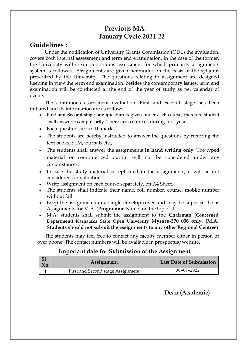# **Previous MA January Cycle 2021-22**

## **Guidelines :**

Under the notification of University Grants Commission (ODL) the evaluation, covers both internal assessment and term end examination. In the case of the former, the University will create continuous assessment for which primarily assignments system is followed. Assignments are given hereunder on the basis of the syllabus prescribed by the University. The questions relating to assignment are designed keeping in view the term end examination, besides the contemporary issues. term end examination will be conducted at the end of the year of study as per calendar of events.

The continuous assessment evaluation. First and Second stage has been initiated and its information are as follows.

- **First and Second stage one question** is given under each course, therefore student shall answer it compulsorily. There are 5 courses during first year.
- Each question carries **10** marks.
- The students are hereby instructed to answer the questions by referring the text books, SLM, journals etc.,
- The students shall answer the assignments **in hand writing only**. The typed material or computerized output will not be considered under any circumstances.
- In case the study material is replicated in the assignments, it will be not considered for valuation.
- Write assignment on each course separately, on A4 Sheet.
- The students shall indicate their name, roll number, course, mobile number without fail.
- Keep the assignments in a single envelop cover and may be super scribe as Assignments for M.A. (**Programme** Name) on the top of it.
- M.A. students shall submit the assignment to the **Chairman (Concerned Department) Karnataka State Open University Mysuru-570 006 only**. **(M.A. Students should not submit the assignments to any other Regional Centres)**

The students may feel free to contact any faculty member either in person or over phone. The contact numbers will be available in prospectus/website.

### **Important date for Submission of the Assignment**

| $\vert$ S1<br>No. | Assignment                        | <b>Last Date of Submission</b> |
|-------------------|-----------------------------------|--------------------------------|
|                   | First and Second stage Assignment | $30 - 07 - 2022$               |

**Dean (Academic)**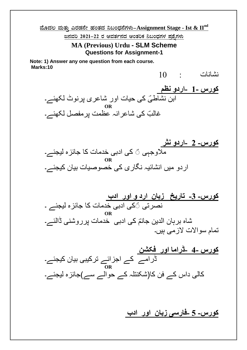**ªÉÆzÀ® ªÀÄvÀÄÛ JgÀqÀ£Éà ºÀAvÀzÀ ¤§AzsÀ£ÉUÀ¼ÀÄ-Assignment Stage - Ist & IInd**

<u>ಜನವರಿ 2021–22 ರ ಆವರ್ತನದ ಆಂತರಿಕ ನಿಬಂಧಗಳ ಪಶ್ನೆಗಳು</u>

**MA (Previous) Urdu - SLM Scheme Questions for Assignment-1**

**Note: 1) Answer any one question from each course. Marks:10** 

نشانات : 10

**کورس 1- -اردو نظم**  ابن نشاطیؔ کی حیات اور شاعری پرنوٹ لکھئے۔ **OR** غالبؔ کی شاعر انہ عظمت پرمفصل لکھئے۔



**کورس- -3 تاریخ زبان ارد و اور ادب** نصرتی ؔکی ادبی خدمات کا جائزہ لیجئے ۔ **OR** شاہ برہان الدین جانمؔ کی ادبی ِ خدمات پرروشنی ڈالئے۔ تمام سواالت الزمی ہیں۔

**کورس 4- -ڈراما اور فکشن** ڈرامے کے اجزائے ترکیبی بیان کیجئے۔ **OR** کالی داس کے فن کا)شکنتلہ کے حوالے سے(جائزہ لیجئے۔

**کورس- 5 -فارسی زبان اور ادب**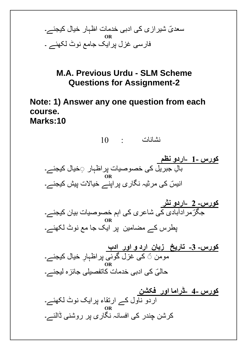

**M.A. Previous Urdu - SLM Scheme Questions for Assignment-2**

**Note: 1) Answer any one question from each course. Marks:10** 

نشانات : 10

**کورس 1- -اردو نظم**  بالِ جبریل کی خصوصیات پر اظہار ۞خیال کیجئے۔ **OR** انیسؔ کی مرثیہ نگاری پراپنے خیالات پیش کیجئے۔

**کورس- 2 -اردو نثر** <mark>جگر مر ادآبادی ک</mark>ی شاعری کی اہم خصوصیات بیان کیجئے۔ **OR** پطرس کے مضامین پر ایک جا مع نوٹ لکھئے۔

**کورس- -3 تاریخ زبان ارد و اور ادب** مومن ؔ کی غزل گوئی پراظہار خیال کیجئے۔ **OR** حالیؒ کی ادبی خدمات کاتفصیلی جائزہ لیجئے۔

**کورس 4- -ڈراما اور فکشن** اردو ناول کے ارتقاء پرایک نوٹ لکھئے۔ **OR** کرشن چندر کی افسانہ نگاری پر روشنی ڈالئے۔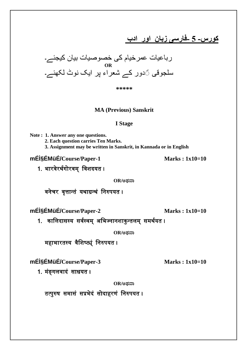**کورس- 5 -فارسی زبان اور ادب** 



**\*\*\*\*\***

**MA (Previous) Sanskrit**

#### **I Stage**

**Note : 1. Answer any one questions. 2. Each question carries Ten Marks. 3. Assignment may be written in Sanskrit, in Kannada or in English**

**mÉl§ÉMüÉ/**Course/Paper-1 **Marks : 1x10=10** 

1. भारवेरर्थगोरवम् ववशदयत ।

 $OR$ /ಅಥವಾ

वनेचर वृत्तान्तं यर्ाग्रन्र्ं वनरुपयत ।

**mȨ́ÉMüÉ/**Course/Paper-2 **Marks : 1x10=10** 

1. कालिदासस्य सर्वस्वम् अभिज्नानशाकुन्तलम् समर्थयत ।

 $OR$ /ಅಥವಾ

महाभारतस्य वैशिष्ट्यं निरुपयत ।

**mȨ́ÉMüÉ/**Course/Paper-3 **Marks : 1x10=10** 

1. मंङ्गिवादं साधयत ।

 $OR$ /ಅಥವಾ

तत्पुरुष समासं सप्रभेदं सोदाहरणं वनरुपयत ।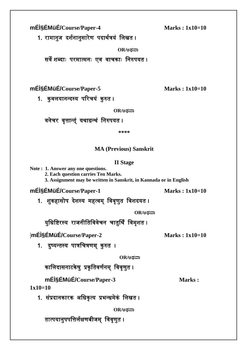**mȨ́ÉMüÉ/**Course/Paper-4 **Marks : 1x10=10** 

1. रामानुज दर्शनानुसारेण पदार्थत्रयं लिखत ।

 $OR$ /ಅಥವಾ

सवे शबदााः परमात्मनाः एव वाचकााः वनरुपयत ।

**mȨ́ÉMüÉ/**Course/Paper-5 **Marks : 1x10=10** 

1. कुवलयानन्दस्य परिचयं कुरुत ।

 $OR$ ಅಥವಾ

# वनेचर वृत्तान्त्ं यर्ाग्रन्र्ं वनरुपयत ।

**\*\*\*\***

# **MA (Previous) Sanskrit**

### **II Stage**

**Note : 1. Answer any one questions.**

**2. Each question carries Ten Marks.**

**3. Assignment may be written in Sanskrit, in Kannada or in English**

**mÉl§ÉMüÉ/**Course/Paper-1 **Marks : 1x10=10** 

1. शुकहासोप देशस्य महत्वम् वववृणुत ववशदयत ।

 $OR$ /ಅಥವಾ

युधिष्टिरस्य राजनीतिविवेचन चातुर्थिं विमृशत ।

|**mȨ́ÉMüÉ/Course/Paper-2 Marks : 1x10=10**

1. दुष्यन्तस्य पात्रचित्रणम् कुरुत ।

 $OR$ /ಅಥವಾ

कालिदासनाटकेषु प्रकृतिवर्णनम् विवृणुत ।

**mÉl§ÉMüÉ/**Course/Paper-3 **Marks**:

**1x10=10**

1. संप्रदानकारक अधिकृत्य प्रभन्धमेकं लिखत ।

 $OR$ /ಅಥವಾ

तात्पयानुपपवत्तिथक्षणबीजम् वववृणुत ।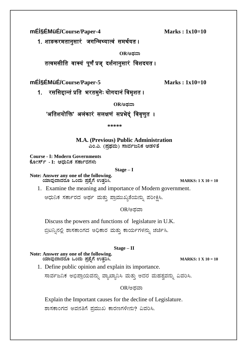**mÉl§ÉMüÉ/**Course/Paper-4 **Marks : 1x10=10** 

1. शाङकरमतानुसारं जगवन्मथ्यात्वं समर्थयत ।

**OR/CxÀªÁ**

तत्वमसीति वाक्यं पूर्णं प्रज् दर्शनानुसारं विशदयत ।

**mÉl§ÉMüÉ/**Course/Paper-5 **Marks : 1x10=10** 

1. रससिद्दान्तं प्रति भरतमुनेः योगदानं विमृशत ।

 $OR$ /ಅದವಾ

'अतिशयोक्ति' अलंकारं सलक्षणं सप्रभेद्ं विवृणुत ।

 **\*\*\*\*\***

**M.A. (Previous) Public Administration** ಎಂ.ಎ. (ಪ್ರಥಮ) ಸಾರ್ವಜನಿಕ ಆಡಳಿತೆ

**Course - I: Modern Governments PÉÆÃ¸ïð - I: DzsÀĤPÀ ¸ÀPÁðgÀUÀ¼ÀÄ**

**Stage – I**

**Note: Answer any one of the following. AiÀiÁªÀÅzÁzÀgÀÆ MAzÀÄ ¥Àæ±ÉßUÉ GvÀÛj¹. MARKS: 1 X 10 = 10**

1. Examine the meaning and importance of Modern government.

ಆಧುನಿಕ ಸರ್ಕಾರದ ಅರ್ಥ ಮತ್ತು ಪ್ರಾಮುಖ್ಯತೆಯನ್ನು ಪರೀಕ್ಷಿಸಿ.

 $OR$ /ಅದವಾ

Discuss the powers and functions of legislature in U.K.

ಬ್ರಿಟನ್ನಿನಲ್ಲಿ ಶಾಸಕಾಂಗದ ಅಧಿಕಾರ ಮತ್ತು ಕಾರ್ಯಗಳನ್ನು ಚರ್ಚಿಸಿ.

### **Stage – II**

**Note: Answer any one of the following. AiÀiÁªÀÅzÁzÀgÀÆ MAzÀÄ ¥Àæ±ÉßUÉ GvÀÛj¹. MARKS: 1 X 10 = 10**

1. Define public opinion and explain its importance.

ಸಾರ್ವಜನಿಕ ಅಭಿಪ್ರಾಯವನ್ನು ವ್ಯಾಖ್ಯಾನಿಸಿ ಮತ್ತು ಅದರ ಮಹತ್ವವನ್ನು ವಿವರಿಸಿ.

OR/ಅಥವಾ

Explain the Important causes for the decline of Legislature.

ಶಾಸಕಾಂಗದ ಅವನತಿಗೆ ಪ್ರಮುಖ ಕಾರಣಗಳೇನು? ವಿವರಿಸಿ.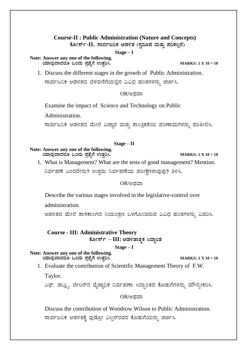# **Course-II : Public Administration (Nature and Concepts)**

ಕೋರ್ಸ್-II. ಸಾರ್ವಜನಿಕ ಆಡಳಿತ (ಸ್ವರೂಪ ಮತ್ತು ಪರಿಕಲ್ಪನೆ)

**Stage – I**

**Note: Answer any one of the following. AiÀiÁªÀÅzÁzÀgÀÆ MAzÀÄ ¥Àæ±ÉßUÉ GvÀÛj¹. MARKS: 1 X 10 = 10**

1. Discuss the different stages in the growth of Public Administration. ಸಾರ್ವಜನಿಕ ಆಡಳಿತದ ಬೆಳವಣಿಗೆಯಲ್ಲಿನ ವಿವಿಧ ಹಂತಗಳನ್ನು ಚರ್ಚಿಸಿ.

OR/ಅಥವಾ

Examine the impact of Science and Technology on Public

Administration.

ಸಾರ್ವಜನಿಕ ಆಡಳಿತದ ಮೇಲೆ ವಿಜ್ಞಾನ ಮತ್ತು ತಾಂತ್ರಿಕತೆಯ ಪರಿಣಾಮಗಳನ್ನು ಪರಿಶೀಲಿಸಿ.

#### **Stage – II**

#### **Note: Answer any one of the following. AiÀiÁªÀÅzÁzÀgÀÆ MAzÀÄ ¥Àæ±ÉßUÉ GvÀÛj¹. MARKS: 1 X 10 = 10**

1. What is Management? What are the tests of good management? Mention. ನಿರ್ವಹಣೆ ಎಂದರೇನು? ಉತ್ತಮ ನಿರ್ವಹಣೆಯ ಪರೀಕ್ಷೆಗಳಾವುವು? ತಿಳಿಸಿ.

#### $OR$ ಅಥವಾ

Describe the various stages involved in the legislative-control over

administration.

ಆಡಳಿತದ ಮೇಲೆ ಶಾಸಕಾಂಗದ ನಿಯಂತ್ರಣ ಒಳಗೊಂಡಿರುವ ವಿವಿಧ ಹಂತಗಳನ್ನು ವಿವರಿಸಿ.

# **Course - III: Administrative Theory**  $\frac{1}{2}$ ಹೋರ್ಸ್ – **III:** ಆಡಳಿತಾತ್ಮಕ ಸಿದ್ಧಾಂತ

**Stage – I**

#### **Note: Answer any one of the following. AiÀiÁªÀÅzÁzÀgÀÆ MAzÀÄ ¥Àæ±ÉßUÉ GvÀÛj¹. MARKS: 1 X 10 = 10**

1. Evaluate the contribution of Scientific Management Theory of F.W.

Taylor.

ಎಫ್. ಡಬ್ಲ್ಯು. ಟೇಲರ್ನ ವೈಜ್ಞಾನಿಕ ನಿರ್ವಹಣಾ ಸಿದ್ಧಾಂತದ ಕೊಡುಗೆಗಳನ್ನು ಮೌಲ್ಯೀಕರಿಸಿ.

OR/ಅಥವಾ

Discuss the contribution of Woodrow Wilson to Public Administration. ಸಾರ್ವಜನಿಕ ಆಡಳಿತಕ್ಕೆ ವುಡ್ರೋ ವಿಲ್ಷನ್ ರವರ ಕೊಡುಗೆಯನ್ನು ಚರ್ಚಿಸಿ.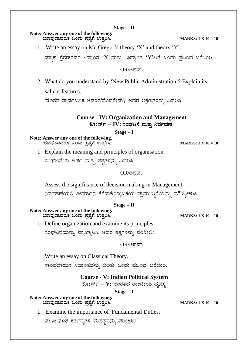#### **Stage – II**

#### **Note: Answer any one of the following. AiÀiÁªÀÅzÁzÀgÀÆ MAzÀÄ ¥Àæ±ÉßUÉ GvÀÛj¹. MARKS: 1 X 10 = 10**

1. Write an essay on Mc Gregor's theory 'X' and theory 'Y'.

ಮ್ಯಾಕ್ ಗ್ರೆಗರ್**ರವರ ಸಿದ್ಧಾಂತ 'X' ಮತ್ತು ಸಿದ್ಧಾಂತ 'Y'ಬಗ್ಗೆ** ಒಂದು ಪ್ರಬಂಧ ಬರೆಯಿರಿ.

#### OR/ಅಥವಾ

2. What do you understand by 'New Public Administration'? Explain its

salient features.

'ನೂತನ ಸಾರ್ವಜನಿಕ ಆಡಳಿತ'ವೆಂದರೇನು? ಅದರ ಲಕ್ಷಣಗಳನ್ನು ವಿವರಿಸಿ.

 **Course - IV: Organization and Management** ಕೋರ್ಸ್ – **IV: ಸಂಘಟನೆ ಮತ್ತು ನಿರ್ವಹಣೆ** 

**Stage – I**

**Note: Answer any one of the following. AiÀiÁªÀÅzÁzÀgÀÆ MAzÀÄ ¥Àæ±ÉßUÉ GvÀÛj¹. MARKS: 1 X 10 = 10**

1. Explain the meaning and principles of organisation.

ಸಂಘಟನೆಯ ಅರ್ಥ ಮತ್ತು ತತ್ರಗಳನ್ನು ವಿವರಿಸಿ.

#### $OR$ ಅದವಾ

Assess the significance of decision making in Management.

ನಿರ್ವಹಣೆಯಲ್ಲಿ ತೀರ್ಮಾನ ತೆಗೆದುಕೊಳ್ಳುವಿಕೆಯ ಪ್ರಾಮುಖ್ಯತೆಯನ್ನು ಮೌಲ್ಯೀಕರಿಸಿ.

#### **Stage – II**

- **Note: Answer any one of the following. AiÀiÁªÀÅzÁzÀgÀÆ MAzÀÄ ¥Àæ±ÉßUÉ GvÀÛj¹. MARKS: 1 X 10 = 10**
	- 1. Define organization and examine its principles.

ಸಂಘಟನೆಯನ್ನು ವ್ಯಾಖ್ಯಾನಿಸಿ. ಅದರ ತತ್ವಗಳನ್ನು ಪರಿಶೀಲಿಸಿ.

OR/ಅಥವಾ

Write an essay on Classical Theory.

ಸಾಂಪ್ರದಾಯಿಕ ಸಿದ್ಧಾಂತವನ್ನು ಕುರಿತು ಒಂದು ಪ್ರಬಂಧ ಬರೆಯಿರಿ.

**Course - V: Indian Political System**  $\frac{1}{3}$ ಹೋರ್ಸ್ – V: ಭಾರತದ ರಾಜಕೀಯ ವ್ಯವಸ್ಥೆ

**Stage – I**

**Note: Answer any one of the following. AiÀiÁªÀÅzÁzÀgÀÆ MAzÀÄ ¥Àæ±ÉßUÉ GvÀÛj¹. MARKS: 1 X 10 = 10**

- 
- 1. Examine the importance of Fundamental Duties.

ಮೂಲಭೂತ ಕರ್ತವ್ಯಗಳ ಮಹತ್ವವನ್ನು ಪರೀಕ್ಷಿಸಿರಿ.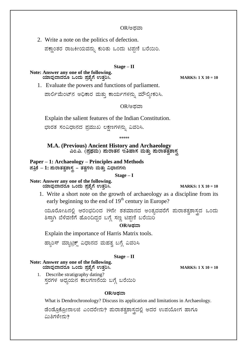#### OR/ಅಥವಾ

2. Write a note on the politics of defection.

ಪಕ್ಸಾಂತರ ರಾಜಕೀಯವನ್ನು ಕುರಿತು ಒಂದು ಟಿಪ್ಪಣಿ ಬರೆಯಿರಿ.

#### **Stage – II**

**Note: Answer any one of the following. AiÀiÁªÀÅzÁzÀgÀÆ MAzÀÄ ¥Àæ±ÉßUÉ GvÀÛj¹. MARKS: 1 X 10 = 10**

1. Evaluate the powers and functions of parliament.

ಪಾರ್ಲಿಮೆಂಟ್ ಅಧಿಕಾರ ಮತ್ತು ಕಾರ್ಯಗಳನ್ನು ಮೌಲ್ಯೀಕರಿಸಿ.

OR/ಅಥವಾ

Explain the salient features of the Indian Constitution.

ಭಾರತ ಸಂವಿಧಾನದ ಪ್ರಮುಖ ಲಕ್ಷಣಗಳನ್ನು ವಿವರಿಸಿ.

\*\*\*\*\*

**M.A. (Previous) Ancient History and Archaeology**  ಎಂ.ಎ. (ಪ್ರಥಮ) **ಪುರಾತನ ಇತಿಹಾಸ ಮತ್ತು ಪುರಾತತ್ವಶಾಸ್ತ** 

**Paper – 1: Archaeology – Principles and Methods**

ಹತ್ರಿಕೆ *–* 1: ಮರಾತತ್ವಶಾಸ್ತ್ರ – ತತ್ವಗಳು ಮತ್ತು ವಿಧಾನಗಳು

**Stage – I**

**Note: Answer any one of the following. AiÀiÁªÀÅzÁzÀgÀÆ MAzÀÄ ¥Àæ±ÉßUÉ GvÀÛj¹. MARKS: 1 X 10 = 10**

1. Write a short note on the growth of archaeology as a discipline from its early beginning to the end of 19<sup>th</sup> century in Europe?

ಯೂರೋಪಿನಲ್ಲಿ ಆರಂಭದಿಂದ 19ನೇ ಶತಮಾನದ ಅಂತ್ಯದವರೆಗೆ ಮರಾತತ್ವಶಾಸ್ತ್ರದ ಒಂದು ತಿಸ್ತಾಗಿ ಬೆಳೆವಣಿಗೆ ಹೊಂದಿದ್ದರ ಬಗ್ಗೆ ಸಣ್ಣ ಟಿಪ್ಪಣಿ ಬರೆಯಿರಿ

 $OR$ /ಅದವಾ

Explain the importance of Harris Matrix tools.

ಹ್ಯಾರಿಸ್ ಮ್ಯಾಟ್ರಿಕ್ಸ್ ವಿಧಾನದ ಮಹತ್ವ ಬಗ್ಗೆ ವಿವರಿಸಿ

#### **Stage – II**

**Note: Answer any one of the following. AiÀiÁªÀÅzÁzÀgÀÆ MAzÀÄ ¥Àæ±ÉßUÉ GvÀÛj¹. MARKS: 1 X 10 = 10**

1. Describe stratigraphy dating? ಸ್ತರಗಳ ಅಧ್ಯಯನ ಕಾಲಗಣನೆಯ ಬಗ್ಗೆ ಬರೆಯಿರಿ

#### $OR$ */ಅಥವಾ*

What is Dendrochronology? Discuss its application and limitations in Archaeology.

ಡೆಂಡ್ರೊಕ್ರೋನಾಲಜಿ ಎಂದರೇನು? ಮರಾತತ್ವಶಾಸ್ತ್ರದಲ್ಲಿ ಅದರ ಉಪಯೋಗ ಹಾಗೂ ಮಿತಿಗಳೇನು?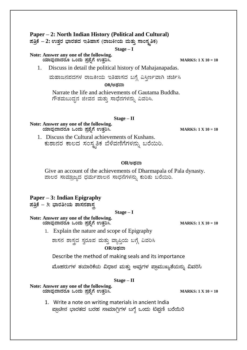### **Paper – 2: North Indian History (Political and Cultural)**

 $\vec{z}$ ಪತ್ರಿಕೆ – 2: ಉತ್ತರ ಭಾರತದ ಇತಿಹಾಸ (ರಾಜಕೀಯ ಮತ್ತು ಸಾಂಸ್ತೃತಿಕ)

**Stage – I**

#### **Note: Answer any one of the following.**

 **AiÀiÁªÀÅzÁzÀgÀÆ MAzÀÄ ¥Àæ±ÉßUÉ GvÀÛj¹. MARKS: 1 X 10 = 10**

1. Discuss in detail the political history of Mahajanapadas.

ಮಹಾಜನಪದಗಳ ರಾಜಕೀಯ ಇತಿಹಾಸದ ಬಗ್ಗೆ ವಿಸ್ತಿರ್ಣವಾಗಿ ಚರ್ಚಿಸಿ

**OR/CxÀªÁ**

Narrate the life and achievements of Gautama Buddha. ಗೌತಮಬುದ್ಧನ ಜೀವನ ಮತ್ತು ಸಾಧೆನಗಳನ್ನು ವಿವರಿಸಿ.

**Stage – II**

**Note: Answer any one of the following. AiÀiÁªÀÅzÁzÀgÀÆ MAzÀÄ ¥Àæ±ÉßUÉ GvÀÛj¹. MARKS: 1 X 10 = 10**

1. Discuss the Cultural achievements of Kushans. ಕುಶಾನರ ಕಾಲದ ಸಂಸ್ಕೃತಿಕ ಬೆಳೆವಣಿಗೆಗಳನ್ನು ಬರೆಯಿರಿ.

#### $OR$ /ಅಥವಾ

Give an account of the achievements of Dharmapala of Pala dynasty. ಪಾಲರ ಸಾಮ್ರಾಜ್ಯದ ಧರ್ಮಪಾಲನ ಸಾಧನೆಗಳನ್ನು ಕುರಿತು ಬರೆಯಿರಿ.

### **Paper – 3: Indian Epigraphy**

 $\overline{x}$ ತ್ರಿಕೆ – 3: ಭಾರತೀಯ ಶಾಸನಶಾಸ್ತ

**Stage – I**

**Note: Answer any one of the following. AiÀiÁªÀÅzÁzÀgÀÆ MAzÀÄ ¥Àæ±ÉßUÉ GvÀÛj¹. MARKS: 1 X 10 = 10**

1. Explain the nature and scope of Epigraphy

ಶಾಸನ ಶಾಸ್ತ್ರದ ಸ್ವರೂಪ ಮತ್ತು ವ್ಯಾಪ್ತಿಯ ಬಗ್ಗೆ ವಿವರಿಸಿ  $OR$ ಅಥವಾ

Describe the method of making seals and its importance

ಮೊಹರುಗಳ ತಯಾರಿಕೆಯ ವಿಧಾನ ಮತ್ತು ಅವುಗಳ ಪ್ರಾಮುಖ್ಯತೆಯನ್ನು ವಿವರಿಸಿ

#### **Stage – II**

#### **Note: Answer any one of the following.**

 **AiÀiÁªÀÅzÁzÀgÀÆ MAzÀÄ ¥Àæ±ÉßUÉ GvÀÛj¹. MARKS: 1 X 10 = 10**

1. Write a note on writing materials in ancient India ಪ್ರಾಚೀನ ಭಾರತದ ಬರಹ ಸಾಮಾಗ್ರಿಗಳ ಬಗ್ಗೆ ಒಂದು ಟಿಪ್ಪಣಿ ಬರೆಯಿರಿ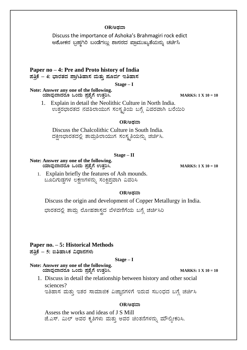#### $OR$ */ಅಥವಾ*

Discuss the importance of Ashoka's Brahmagiri rock edict ಅಶೋಕನ ಬ್ರಹ್ತಗಿರಿ ಬಂಡೆಗಲ್ಲು ಶಾಸನದ ಪ್ರಾಮುಖ್ಯತೆಯನ್ನು ಚರ್ಚಿಸಿ

**Paper no – 4: Pre and Proto history of India** ಹತ್ತಿಕೆ – 4: ಭಾರತದ ಪ್ರಾಗಿತಿಹಾಸ ಮತ್ತು **ಪೂರ್ವ ಇತಿಹಾಸ** 

**Stage – I**

#### **Note: Answer any one of the following. AiÀiÁªÀÅzÁzÀgÀÆ MAzÀÄ ¥Àæ±ÉßUÉ GvÀÛj¹. MARKS: 1 X 10 = 10**

1. Explain in detail the Neolithic Culture in North India. ಉತ್ತರಭಾರತದ ನವಶಿಲಾಯುಗ ಸಂಸ್ಕೃತಿಯ ಬಗ್ಗೆ ವಿವರವಾಗಿ ಬರೆಯಿರಿ

#### $OR$ /ಅಥವಾ

Discuss the Chalcolithic Culture in South India. ದಕ್ಷಿಣಭಾರತದಲ್ಲಿ ತಾಮ್ರಶಿಲಾಯುಗ ಸಂಸ್ಕೃತಿಯನ್ನು ಚರ್ಚಿಸಿ.

#### **Stage – II**

#### **Note: Answer any one of the following. AiÀiÁªÀÅzÁzÀgÀÆ MAzÀÄ ¥Àæ±ÉßUÉ GvÀÛj¹. MARKS: 1 X 10 = 10**

1. Explain briefly the features of Ash mounds. ಒೂದಿಗುಡ್ಡಗಳ ಲಕ್ಷಣಗಳನ್ನು ಸಂಕ್ಷಿಪ್ತವಾಗಿ ವಿವರಿಸಿ

#### $OR$ /ಅಥವಾ

Discuss the origin and development of Copper Metallurgy in India.

ಭಾರತದಲ್ಲಿ ತಾಮ್ರ ಲೋಹಶಾಸ್ತ್ರದ ಬೆಳವಣಿಗೆಯ ಬಗ್ಗೆ ಚರ್ಚಿಸಿರಿ

#### **Paper no. – 5: Historical Methods**

 $\bar{z}$ ಪತ್ರಿಕೆ *–* 5: ಐತಿಹಾಸಿಕ ವಿಧಾನಗಳು

#### **Stage – I**

#### **Note: Answer any one of the following. AiÀiÁªÀÅzÁzÀgÀÆ MAzÀÄ ¥Àæ±ÉßUÉ GvÀÛj¹. MARKS: 1 X 10 = 10**

1. Discuss in detail the relationship between history and other social sciences?

ಇತಿಹಾಸ ಮತ್ತು ಇತರ ಸಾಮಾಜಿಕ ವಿಜ್ಞಾನಗಳಿಗೆ ಇರುವ ಸಬಂಧದ ಬಗ್ಗೆ ಚರ್ಚಿಸಿ

#### **OR/CxÀªÁ**

Assess the works and ideas of J S Mill ಜೆ.ಎಸ್. ಮಿಲ್ ಅವರ ಕೃತಿಗಳು ಮತ್ತು ಅವರ ಚಿಂತನೆಗಳನ್ನು ಮೌಲ್ಯೀಕರಿಸಿ.